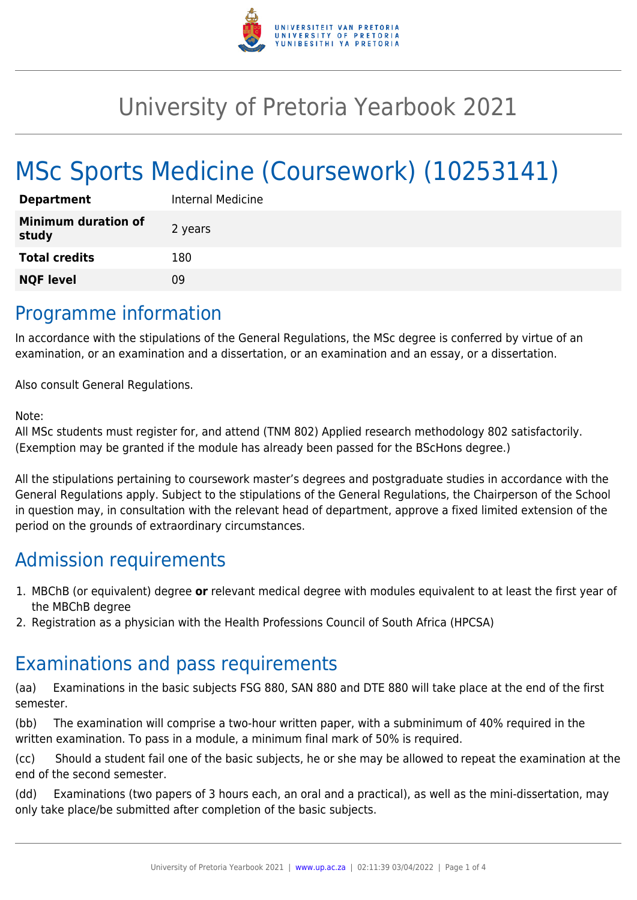

# University of Pretoria Yearbook 2021

# MSc Sports Medicine (Coursework) (10253141)

| <b>Department</b>                   | Internal Medicine |
|-------------------------------------|-------------------|
| <b>Minimum duration of</b><br>study | 2 years           |
| <b>Total credits</b>                | 180               |
| <b>NQF level</b>                    | ng                |

### Programme information

In accordance with the stipulations of the General Regulations, the MSc degree is conferred by virtue of an examination, or an examination and a dissertation, or an examination and an essay, or a dissertation.

Also consult General Regulations.

#### Note:

All MSc students must register for, and attend (TNM 802) Applied research methodology 802 satisfactorily. (Exemption may be granted if the module has already been passed for the BScHons degree.)

All the stipulations pertaining to coursework master's degrees and postgraduate studies in accordance with the General Regulations apply. Subject to the stipulations of the General Regulations, the Chairperson of the School in question may, in consultation with the relevant head of department, approve a fixed limited extension of the period on the grounds of extraordinary circumstances.

## Admission requirements

- 1. MBChB (or equivalent) degree **or** relevant medical degree with modules equivalent to at least the first year of the MBChB degree
- 2. Registration as a physician with the Health Professions Council of South Africa (HPCSA)

## Examinations and pass requirements

(aa) Examinations in the basic subjects FSG 880, SAN 880 and DTE 880 will take place at the end of the first semester.

(bb) The examination will comprise a two-hour written paper, with a subminimum of 40% required in the written examination. To pass in a module, a minimum final mark of 50% is required.

(cc) Should a student fail one of the basic subjects, he or she may be allowed to repeat the examination at the end of the second semester.

(dd) Examinations (two papers of 3 hours each, an oral and a practical), as well as the mini-dissertation, may only take place/be submitted after completion of the basic subjects.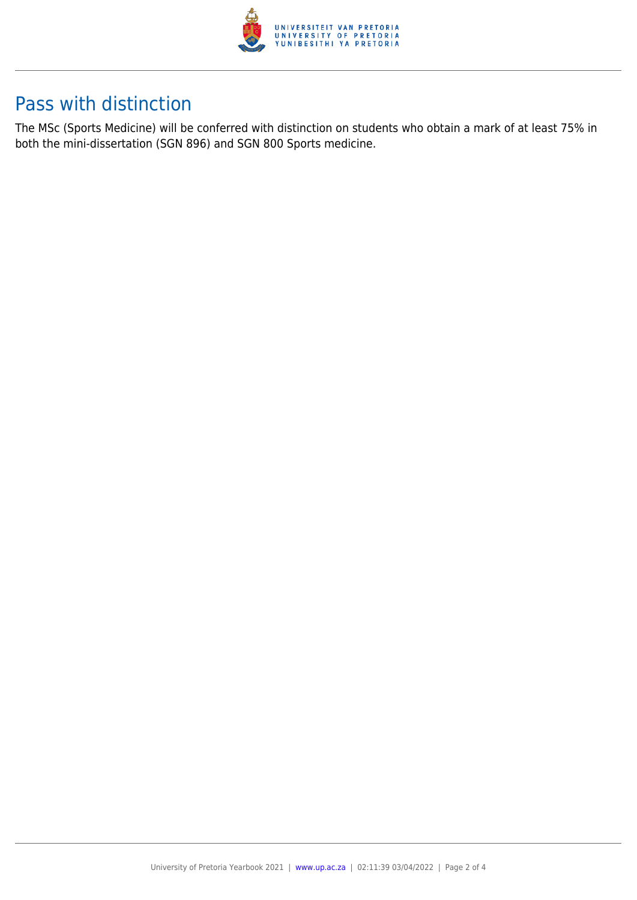

## Pass with distinction

The MSc (Sports Medicine) will be conferred with distinction on students who obtain a mark of at least 75% in both the mini-dissertation (SGN 896) and SGN 800 Sports medicine.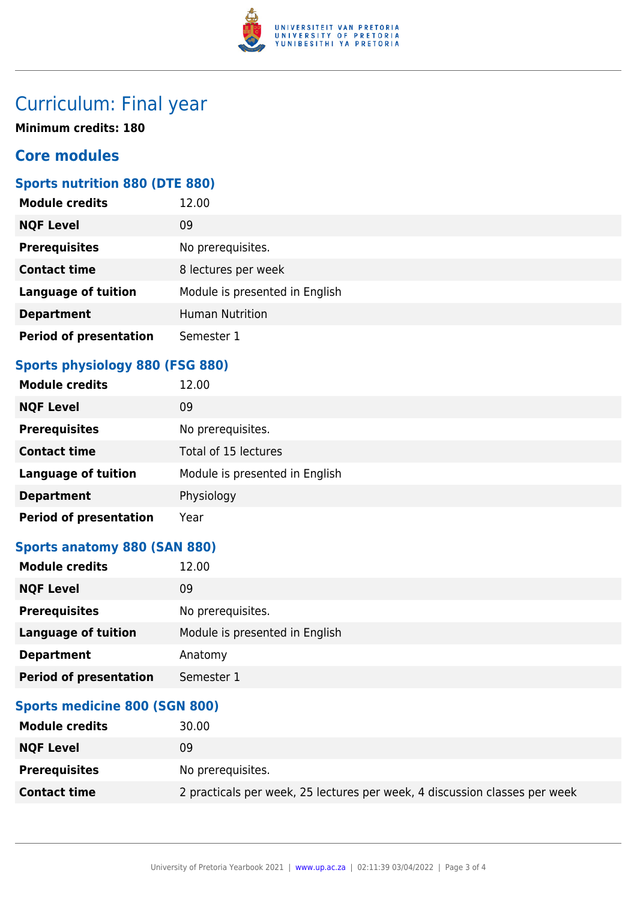

# Curriculum: Final year

**Minimum credits: 180**

### **Core modules**

#### **Sports nutrition 880 (DTE 880)**

| <b>Module credits</b>         | 12.00                          |
|-------------------------------|--------------------------------|
| <b>NQF Level</b>              | 09                             |
| <b>Prerequisites</b>          | No prerequisites.              |
| <b>Contact time</b>           | 8 lectures per week            |
| <b>Language of tuition</b>    | Module is presented in English |
| <b>Department</b>             | <b>Human Nutrition</b>         |
| <b>Period of presentation</b> | Semester 1                     |

### **Sports physiology 880 (FSG 880)**

| <b>Module credits</b>         | 12.00                          |
|-------------------------------|--------------------------------|
| <b>NQF Level</b>              | 09                             |
| <b>Prerequisites</b>          | No prerequisites.              |
| <b>Contact time</b>           | Total of 15 lectures           |
| <b>Language of tuition</b>    | Module is presented in English |
| <b>Department</b>             | Physiology                     |
| <b>Period of presentation</b> | Year                           |

#### **Sports anatomy 880 (SAN 880)**

| <b>Module credits</b>         | 12.00                          |
|-------------------------------|--------------------------------|
| <b>NQF Level</b>              | 09                             |
| <b>Prerequisites</b>          | No prerequisites.              |
| <b>Language of tuition</b>    | Module is presented in English |
| <b>Department</b>             | Anatomy                        |
| <b>Period of presentation</b> | Semester 1                     |
|                               |                                |

#### **Sports medicine 800 (SGN 800)**

| <b>Module credits</b> | 30.00                                                                      |
|-----------------------|----------------------------------------------------------------------------|
| <b>NQF Level</b>      | 09                                                                         |
| <b>Prerequisites</b>  | No prerequisites.                                                          |
| <b>Contact time</b>   | 2 practicals per week, 25 lectures per week, 4 discussion classes per week |